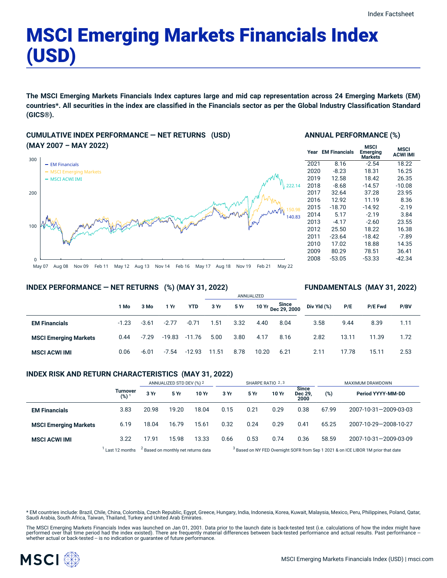## MSCI Emerging Markets Financials Index (USD)

The MSCI Emerging Markets Financials Index captures large and mid cap representation across 24 Emerging Markets (EM) countries\*. All securities in the index are classified in the Financials sector as per the Global Industry Classification Standard **(GICS®).**

#### **CUMULATIVE INDEX PERFORMANCE — NET RETURNS (USD) (MAY 2007 – MAY 2022)**



#### **ANNUAL PERFORMANCE (%)**

| Year | <b>EM Financials</b> | <b>MSCI</b><br>Emerging<br><b>Markets</b> | <b>MSCI</b><br><b>ACWI IMI</b> |
|------|----------------------|-------------------------------------------|--------------------------------|
| 2021 | 8.16                 | $-2.54$                                   | 18.22                          |
| 2020 | $-8.23$              | 18.31                                     | 16.25                          |
| 2019 | 12.58                | 18.42                                     | 26.35                          |
| 2018 | $-8.68$              | $-14.57$                                  | $-10.08$                       |
| 2017 | 32.64                | 37.28                                     | 23.95                          |
| 2016 | 12.92                | 11.19                                     | 8.36                           |
| 2015 | $-18.70$             | $-14.92$                                  | $-2.19$                        |
| 2014 | 5.17                 | $-2.19$                                   | 3.84                           |
| 2013 | $-4.17$              | $-2.60$                                   | 23.55                          |
| 2012 | 25.50                | 18.22                                     | 16.38                          |
| 2011 | $-23.64$             | $-18.42$                                  | $-7.89$                        |
| 2010 | 17.02                | 18.88                                     | 14.35                          |
| 2009 | 80.29                | 78.51                                     | 36.41                          |
| 2008 | $-53.05$             | $-53.33$                                  | -42.34                         |
|      |                      |                                           |                                |

**FUNDAMENTALS (MAY 31, 2022)**

#### **INDEX PERFORMANCE — NET RETURNS (%) (MAY 31, 2022)**

#### ANNUALIZED **1 Mo 3 Mo 1 Yr YTD 3 Yr 5 Yr 10 Yr Since Dec 29, 2000 EM Financials** -1.23 -3.61 -2.77 -0.71 1.51 3.32 4.40 8.04 **MSCI Emerging Markets** 0.44 -7.29 -19.83 -11.76 5.00 3.80 4.17 8.16 **MSCI ACWI IMI** 0.06 -6.01 -7.54 -12.93 11.51 8.78 10.20 6.21 **Div Yld (%) P/E P/E Fwd P/BV** 3.58 9.44 8.39 1.11 2.82 13.11 11.39 1.72 2.11 17.78 15.11 2.53

#### **INDEX RISK AND RETURN CHARACTERISTICS (MAY 31, 2022)**

|                              |                        | ANNUALIZED STD DEV (%) 2                       |       | SHARPE RATIO 2,3 |                                                                                               |      |       | MAXIMUM DRAWDOWN         |       |                       |
|------------------------------|------------------------|------------------------------------------------|-------|------------------|-----------------------------------------------------------------------------------------------|------|-------|--------------------------|-------|-----------------------|
|                              | <b>Turnover</b><br>(%) | 3 Yr                                           | 5 Yr  | 10 Yr            | 3 Yr                                                                                          | 5 Yr | 10 Yr | Since<br>Dec 29,<br>2000 | (%)   | Period YYYY-MM-DD     |
| <b>EM Financials</b>         | 3.83                   | 20.98                                          | 19.20 | 18.04            | 0.15                                                                                          | 0.21 | 0.29  | 0.38                     | 67.99 | 2007-10-31-2009-03-03 |
| <b>MSCI Emerging Markets</b> | 6.19                   | 18.04                                          | 16.79 | 15.61            | 0.32                                                                                          | 0.24 | 0.29  | 0.41                     | 65.25 | 2007-10-29-2008-10-27 |
| <b>MSCI ACWI IMI</b>         | 3.22                   | 17.91                                          | 15.98 | 13.33            | 0.66                                                                                          | 0.53 | 0.74  | 0.36                     | 58.59 | 2007-10-31-2009-03-09 |
|                              | Last 12 months         | <sup>2</sup> Based on monthly net returns data |       |                  | <sup>3</sup> Based on NY FED Overnight SOFR from Sep 1 2021 & on ICE LIBOR 1M prior that date |      |       |                          |       |                       |

\* EM countries include: Brazil, Chile, China, Colombia, Czech Republic, Egypt, Greece, Hungary, India, Indonesia, Korea, Kuwait, Malaysia, Mexico, Peru, Philippines, Poland, Qatar, Saudi Arabia, South Africa, Taiwan, Thailand, Turkey and United Arab Emirates.

The MSCI Emerging Markets Financials Index was launched on Jan 01, 2001. Data prior to the launch date is back-tested test (i.e. calculations of how the index might have performed over that time period had the index existed). There are frequently material differences between back-tested performance and actual results. Past performance –<br>whether actual or back-tested – is no indication or g

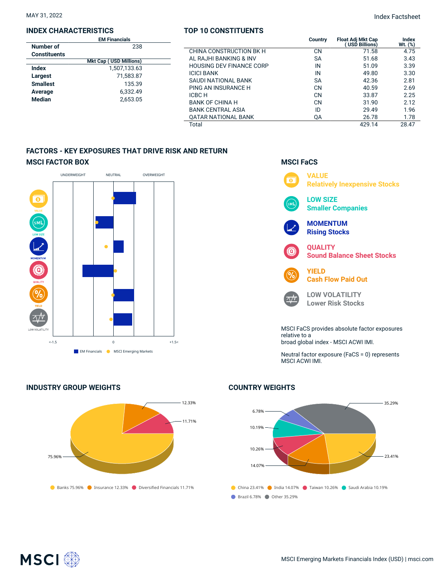#### **INDEX CHARACTERISTICS**

|                     | <b>EM Financials</b>          |  |
|---------------------|-------------------------------|--|
| Number of           | 238                           |  |
| <b>Constituents</b> |                               |  |
|                     | <b>Mkt Cap (USD Millions)</b> |  |
| Index               | 1,507,133.63                  |  |
| Largest             | 71,583.87                     |  |
| <b>Smallest</b>     | 135.39                        |  |
| Average             | 6.332.49                      |  |
| <b>Median</b>       | 2,653.05                      |  |
|                     |                               |  |

#### **TOP 10 CONSTITUENTS**

|          | <b>EM Financials</b>               |                                 | Country   | <b>Float Adi Mkt Cap</b> | Index   |
|----------|------------------------------------|---------------------------------|-----------|--------------------------|---------|
| er of    | 238                                |                                 |           | USD Billions)            | Wt. (%) |
| tituents |                                    | CHINA CONSTRUCTION BK H         | <b>CN</b> | 71.58                    | 4.75    |
|          | (USD Millions)<br><b>Mkt Cap (</b> | AL RAJHI BANKING & INV          | <b>SA</b> | 51.68                    | 3.43    |
|          | 1,507,133.63                       | <b>HOUSING DEV FINANCE CORP</b> | IN        | 51.09                    | 3.39    |
| ∣st      | 71,583.87                          | <b>ICICI BANK</b>               | IN        | 49.80                    | 3.30    |
|          |                                    | SAUDI NATIONAL BANK             | <b>SA</b> | 42.36                    | 2.81    |
| est      | 135.39                             | PING AN INSURANCE H             | CN        | 40.59                    | 2.69    |
| ıge      | 6.332.49                           | ICBC H                          | <b>CN</b> | 33.87                    | 2.25    |
| an       | 2,653.05                           | <b>BANK OF CHINA H</b>          | <b>CN</b> | 31.90                    | 2.12    |
|          |                                    | <b>BANK CENTRAL ASIA</b>        | ID        | 29.49                    | 1.96    |
|          |                                    | <b>OATAR NATIONAL BANK</b>      | QA        | 26.78                    | 1.78    |
|          |                                    | Total                           |           | 429.14                   | 28.47   |

#### **FACTORS - KEY EXPOSURES THAT DRIVE RISK AND RETURN MSCI FACTOR BOX**



**INDUSTRY GROUP WEIGHTS**

# Banks 75.96% Insurance 12.33% Diversified Financials 11.71% 75.96% 12.33% 11.71%

### **MSCI FaCS**



broad global index - MSCI ACWI IMI.

Neutral factor exposure (FaCS = 0) represents MSCI ACWI IMI.

#### **COUNTRY WEIGHTS**